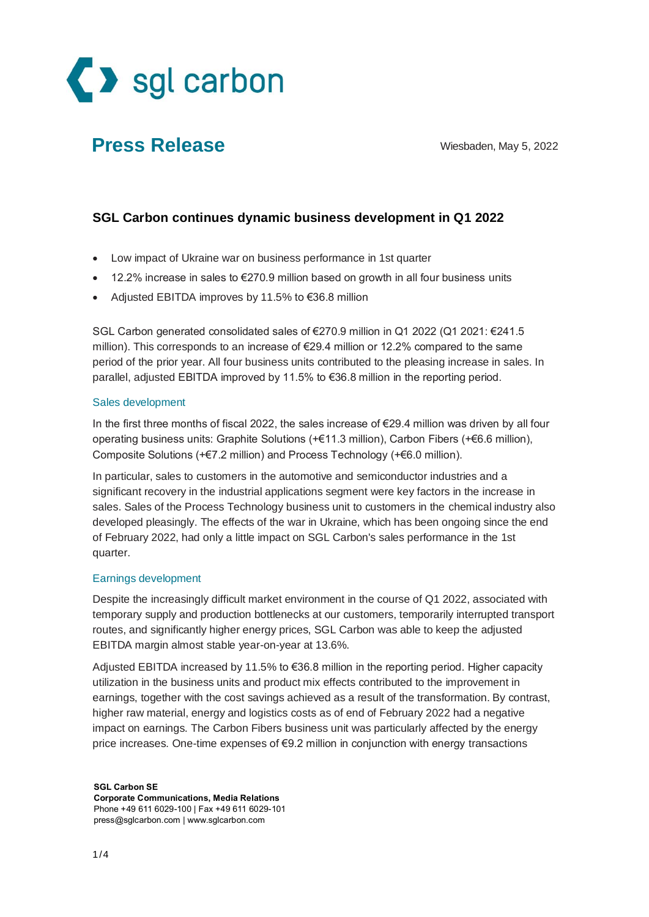

# **Press Release** Wiesbaden, May 5, 2022

### **SGL Carbon continues dynamic business development in Q1 2022**

- Low impact of Ukraine war on business performance in 1st quarter
- 12.2% increase in sales to €270.9 million based on growth in all four business units
- Adjusted EBITDA improves by 11.5% to €36.8 million

SGL Carbon generated consolidated sales of €270.9 million in Q1 2022 (Q1 2021: €241.5 million). This corresponds to an increase of  $\epsilon$ 29.4 million or 12.2% compared to the same period of the prior year. All four business units contributed to the pleasing increase in sales. In parallel, adjusted EBITDA improved by 11.5% to €36.8 million in the reporting period.

#### Sales development

In the first three months of fiscal 2022, the sales increase of €29.4 million was driven by all four operating business units: Graphite Solutions (+€11.3 million), Carbon Fibers (+€6.6 million), Composite Solutions (+€7.2 million) and Process Technology (+€6.0 million).

In particular, sales to customers in the automotive and semiconductor industries and a significant recovery in the industrial applications segment were key factors in the increase in sales. Sales of the Process Technology business unit to customers in the chemical industry also developed pleasingly. The effects of the war in Ukraine, which has been ongoing since the end of February 2022, had only a little impact on SGL Carbon's sales performance in the 1st quarter.

#### Earnings development

Despite the increasingly difficult market environment in the course of Q1 2022, associated with temporary supply and production bottlenecks at our customers, temporarily interrupted transport routes, and significantly higher energy prices, SGL Carbon was able to keep the adjusted EBITDA margin almost stable year-on-year at 13.6%.

Adjusted EBITDA increased by 11.5% to €36.8 million in the reporting period. Higher capacity utilization in the business units and product mix effects contributed to the improvement in earnings, together with the cost savings achieved as a result of the transformation. By contrast, higher raw material, energy and logistics costs as of end of February 2022 had a negative impact on earnings. The Carbon Fibers business unit was particularly affected by the energy price increases. One-time expenses of €9.2 million in conjunction with energy transactions

**SGL Carbon SE Corporate Communications, Media Relations** Phone +49 611 6029-100 | Fax +49 611 6029-101 [press@sglcarbon.com](mailto:press@sglcarbon.com) | [www.sglcarbon.com](http://www.sglcarbon.com/)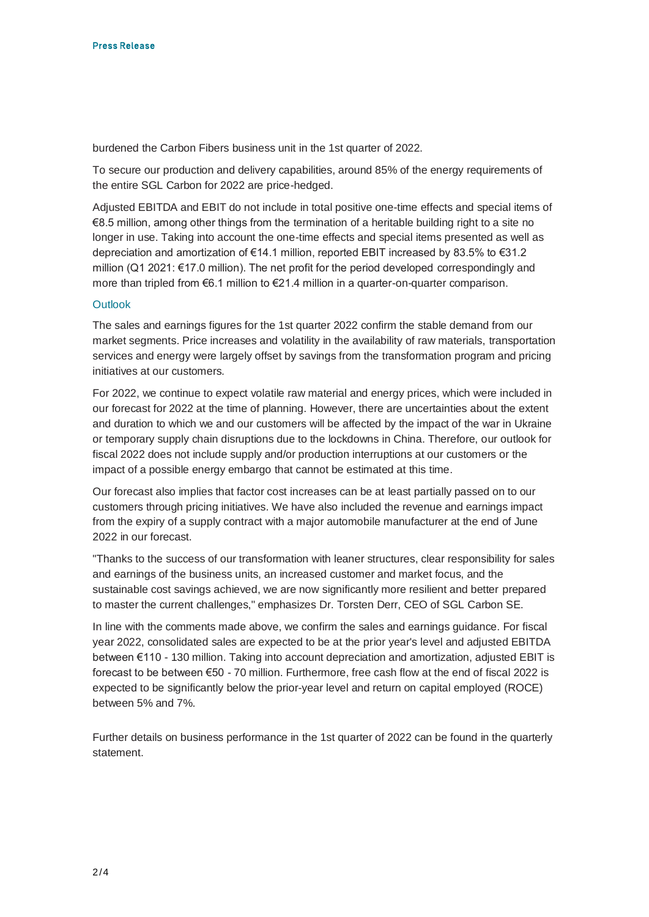burdened the Carbon Fibers business unit in the 1st quarter of 2022.

To secure our production and delivery capabilities, around 85% of the energy requirements of the entire SGL Carbon for 2022 are price-hedged.

Adjusted EBITDA and EBIT do not include in total positive one-time effects and special items of €8.5 million, among other things from the termination of a heritable building right to a site no longer in use. Taking into account the one-time effects and special items presented as well as depreciation and amortization of €14.1 million, reported EBIT increased by 83.5% to €31.2 million (Q1 2021: €17.0 million). The net profit for the period developed correspondingly and more than tripled from €6.1 million to €21.4 million in a quarter-on-quarter comparison.

#### **Outlook**

The sales and earnings figures for the 1st quarter 2022 confirm the stable demand from our market segments. Price increases and volatility in the availability of raw materials, transportation services and energy were largely offset by savings from the transformation program and pricing initiatives at our customers.

For 2022, we continue to expect volatile raw material and energy prices, which were included in our forecast for 2022 at the time of planning. However, there are uncertainties about the extent and duration to which we and our customers will be affected by the impact of the war in Ukraine or temporary supply chain disruptions due to the lockdowns in China. Therefore, our outlook for fiscal 2022 does not include supply and/or production interruptions at our customers or the impact of a possible energy embargo that cannot be estimated at this time.

Our forecast also implies that factor cost increases can be at least partially passed on to our customers through pricing initiatives. We have also included the revenue and earnings impact from the expiry of a supply contract with a major automobile manufacturer at the end of June 2022 in our forecast.

"Thanks to the success of our transformation with leaner structures, clear responsibility for sales and earnings of the business units, an increased customer and market focus, and the sustainable cost savings achieved, we are now significantly more resilient and better prepared to master the current challenges," emphasizes Dr. Torsten Derr, CEO of SGL Carbon SE.

In line with the comments made above, we confirm the sales and earnings guidance. For fiscal year 2022, consolidated sales are expected to be at the prior year's level and adjusted EBITDA between €110 - 130 million. Taking into account depreciation and amortization, adjusted EBIT is forecast to be between €50 - 70 million. Furthermore, free cash flow at the end of fiscal 2022 is expected to be significantly below the prior-year level and return on capital employed (ROCE) between 5% and 7%.

Further details on business performance in the 1st quarter of 2022 can be found in the quarterly statement.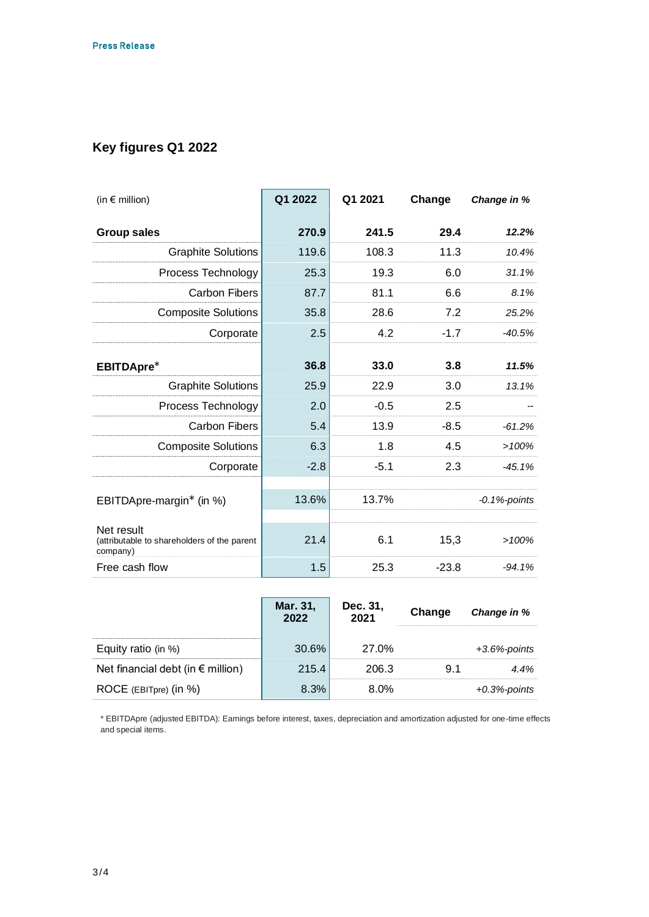## **Key figures Q1 2022**

| (in $\epsilon$ million)                                               | Q1 2022 | Q1 2021 | Change  | Change in %     |
|-----------------------------------------------------------------------|---------|---------|---------|-----------------|
| <b>Group sales</b>                                                    | 270.9   | 241.5   | 29.4    | 12.2%           |
| <b>Graphite Solutions</b>                                             | 119.6   | 108.3   | 11.3    | 10.4%           |
| Process Technology                                                    | 25.3    | 19.3    | 6.0     | 31.1%           |
| <b>Carbon Fibers</b>                                                  | 87.7    | 81.1    | 6.6     | 8.1%            |
| <b>Composite Solutions</b>                                            | 35.8    | 28.6    | 7.2     | 25.2%           |
| Corporate                                                             | 2.5     | 4.2     | $-1.7$  | $-40.5%$        |
| EBITDApre*                                                            | 36.8    | 33.0    | 3.8     | 11.5%           |
| <b>Graphite Solutions</b>                                             | 25.9    | 22.9    | 3.0     | 13.1%           |
| Process Technology                                                    | 2.0     | $-0.5$  | 2.5     |                 |
| <b>Carbon Fibers</b>                                                  | 5.4     | 13.9    | $-8.5$  | $-61.2%$        |
| <b>Composite Solutions</b>                                            | 6.3     | 1.8     | 4.5     | >100%           |
| Corporate                                                             | $-2.8$  | $-5.1$  | 2.3     | $-45.1%$        |
| EBITDApre-margin* (in %)                                              | 13.6%   | 13.7%   |         | $-0.1%$ -points |
| Net result<br>(attributable to shareholders of the parent<br>company) | 21.4    | 6.1     | 15,3    | >100%           |
| Free cash flow                                                        | 1.5     | 25.3    | $-23.8$ | $-94.1%$        |

|                                            | Mar. 31,<br>2022 | Dec. 31,<br>2021 | Change | Change in %      |
|--------------------------------------------|------------------|------------------|--------|------------------|
| Equity ratio (in $%$ )                     | 30.6%            | 27.0%            |        | $+3.6\%$ -points |
| Net financial debt (in $\epsilon$ million) | 215.4            | 206.3            | 9.1    | 4.4%             |
| ROCE (EBITpre) (in %)                      | 8.3%             | 8.0%             |        | $+0.3%$ -points  |

\* EBITDApre (adjusted EBITDA): Earnings before interest, taxes, depreciation and amortization adjusted for one-time effects and special items.